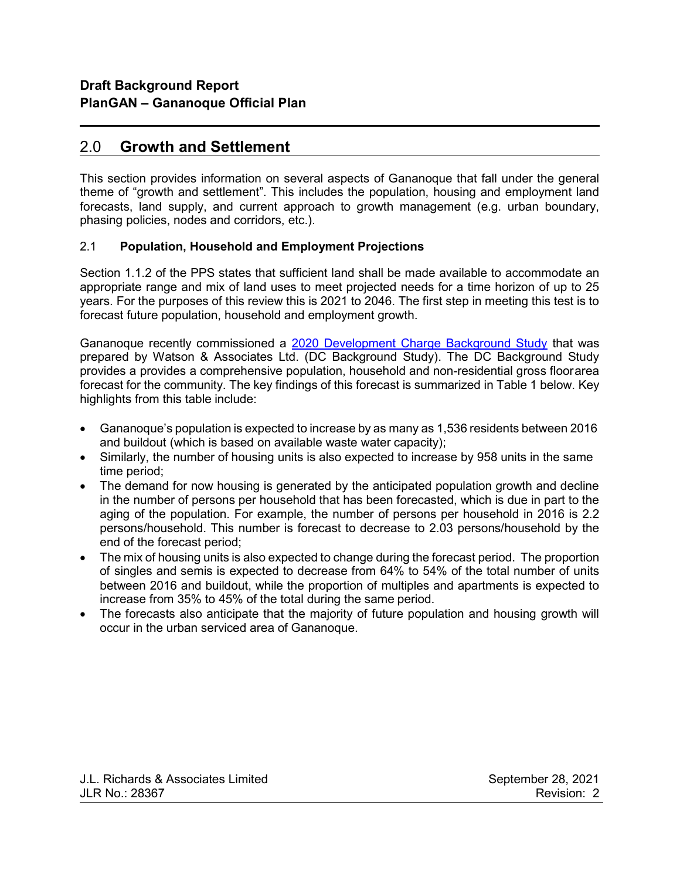# 2.0 Growth and Settlement

l

This section provides information on several aspects of Gananoque that fall under the general theme of "growth and settlement". This includes the population, housing and employment land forecasts, land supply, and current approach to growth management (e.g. urban boundary, phasing policies, nodes and corridors, etc.).

### 2.1 Population, Household and Employment Projections

Section 1.1.2 of the PPS states that sufficient land shall be made available to accommodate an appropriate range and mix of land uses to meet projected needs for a time horizon of up to 25 years. For the purposes of this review this is 2021 to 2046. The first step in meeting this test is to forecast future population, household and employment growth.

Gananoque recently commissioned a 2020 Development Charge Background Study that was prepared by Watson & Associates Ltd. (DC Background Study). The DC Background Study provides a provides a comprehensive population, household and non-residential gross floor area forecast for the community. The key findings of this forecast is summarized in Table 1 below. Key highlights from this table include:

- Gananoque's population is expected to increase by as many as 1,536 residents between 2016 and buildout (which is based on available waste water capacity);
- Similarly, the number of housing units is also expected to increase by 958 units in the same time period;
- The demand for now housing is generated by the anticipated population growth and decline in the number of persons per household that has been forecasted, which is due in part to the aging of the population. For example, the number of persons per household in 2016 is 2.2 persons/household. This number is forecast to decrease to 2.03 persons/household by the end of the forecast period;
- The mix of housing units is also expected to change during the forecast period. The proportion of singles and semis is expected to decrease from 64% to 54% of the total number of units between 2016 and buildout, while the proportion of multiples and apartments is expected to increase from 35% to 45% of the total during the same period.
- The forecasts also anticipate that the majority of future population and housing growth will occur in the urban serviced area of Gananoque.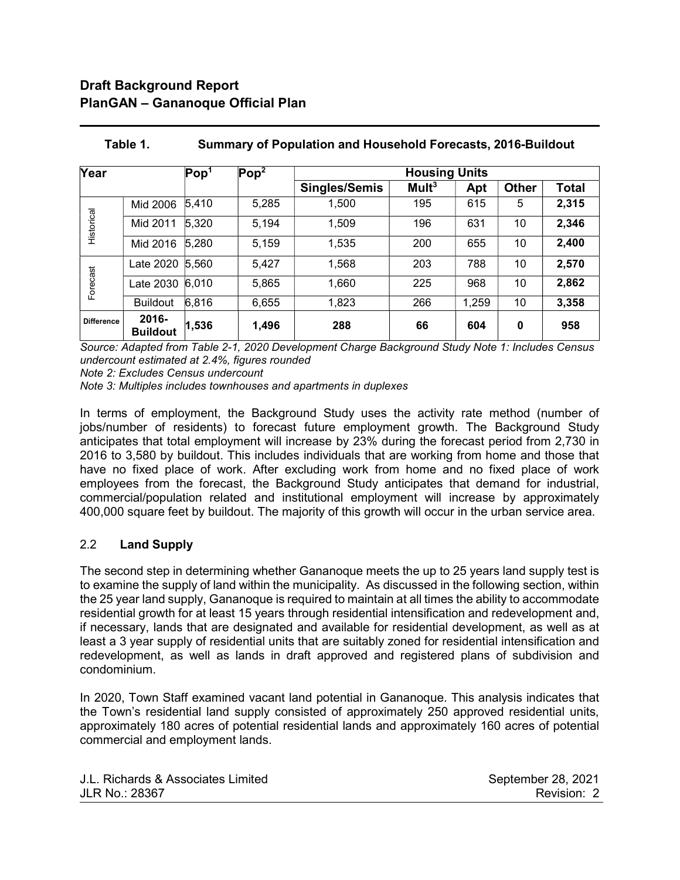# Draft Background Report PlanGAN – Gananoque Official Plan

l

| Year              |                          | $\mathsf{Pop}^1$ | Pop <sup>2</sup> | <b>Housing Units</b> |                   |       |                 |              |
|-------------------|--------------------------|------------------|------------------|----------------------|-------------------|-------|-----------------|--------------|
|                   |                          |                  |                  | <b>Singles/Semis</b> | Mult <sup>3</sup> | Apt   | <b>Other</b>    | <b>Total</b> |
| Historical        | Mid 2006                 | 5,410            | 5,285            | 1,500                | 195               | 615   | 5               | 2,315        |
|                   | Mid 2011                 | 5,320            | 5,194            | 1,509                | 196               | 631   | 10              | 2,346        |
|                   | Mid 2016                 | 5,280            | 5,159            | 1,535                | 200               | 655   | 10              | 2,400        |
| Forecast          | Late 2020 5,560          |                  | 5,427            | 1,568                | 203               | 788   | 10 <sup>°</sup> | 2,570        |
|                   | Late 2030 6,010          |                  | 5,865            | 1,660                | 225               | 968   | 10 <sup>°</sup> | 2,862        |
|                   | <b>Buildout</b>          | 6,816            | 6,655            | 1,823                | 266               | 1,259 | 10              | 3,358        |
| <b>Difference</b> | 2016-<br><b>Buildout</b> | 1,536            | 1,496            | 288                  | 66                | 604   | 0               | 958          |

# Table 1. Summary of Population and Household Forecasts, 2016-Buildout

Source: Adapted from Table 2-1, 2020 Development Charge Background Study Note 1: Includes Census undercount estimated at 2.4%, figures rounded

Note 2: Excludes Census undercount

Note 3: Multiples includes townhouses and apartments in duplexes

In terms of employment, the Background Study uses the activity rate method (number of jobs/number of residents) to forecast future employment growth. The Background Study anticipates that total employment will increase by 23% during the forecast period from 2,730 in 2016 to 3,580 by buildout. This includes individuals that are working from home and those that have no fixed place of work. After excluding work from home and no fixed place of work employees from the forecast, the Background Study anticipates that demand for industrial, commercial/population related and institutional employment will increase by approximately 400,000 square feet by buildout. The majority of this growth will occur in the urban service area.

## 2.2 Land Supply

The second step in determining whether Gananoque meets the up to 25 years land supply test is to examine the supply of land within the municipality. As discussed in the following section, within the 25 year land supply, Gananoque is required to maintain at all times the ability to accommodate residential growth for at least 15 years through residential intensification and redevelopment and, if necessary, lands that are designated and available for residential development, as well as at least a 3 year supply of residential units that are suitably zoned for residential intensification and redevelopment, as well as lands in draft approved and registered plans of subdivision and condominium.

In 2020, Town Staff examined vacant land potential in Gananoque. This analysis indicates that the Town's residential land supply consisted of approximately 250 approved residential units, approximately 180 acres of potential residential lands and approximately 160 acres of potential commercial and employment lands.

| J.L. Richards & Associates Limited | September 28, 2021 |
|------------------------------------|--------------------|
| JLR No.: 28367                     | Revision: 2        |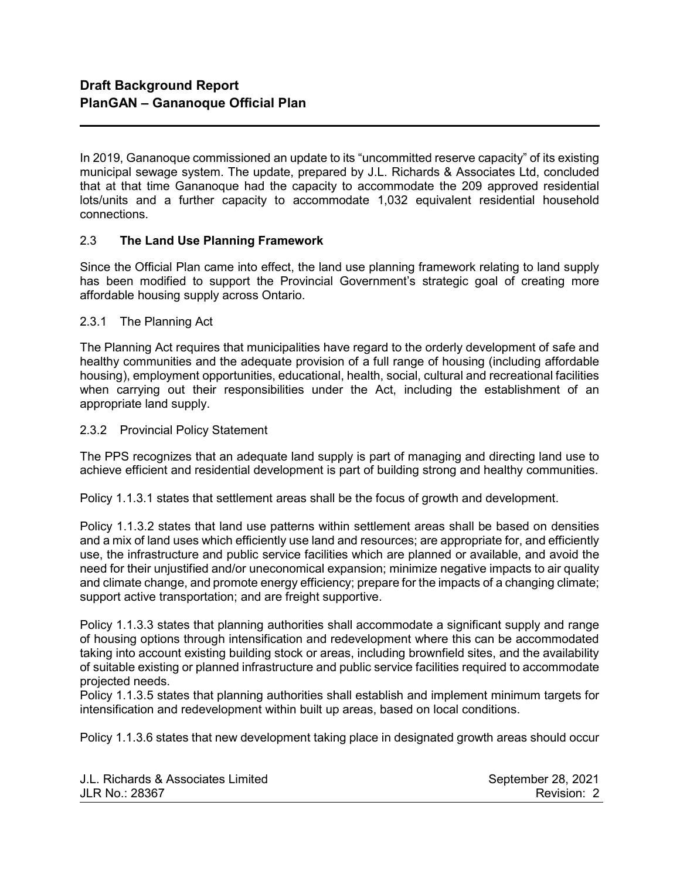In 2019, Gananoque commissioned an update to its "uncommitted reserve capacity" of its existing municipal sewage system. The update, prepared by J.L. Richards & Associates Ltd, concluded that at that time Gananoque had the capacity to accommodate the 209 approved residential lots/units and a further capacity to accommodate 1,032 equivalent residential household connections.

## 2.3 The Land Use Planning Framework

Since the Official Plan came into effect, the land use planning framework relating to land supply has been modified to support the Provincial Government's strategic goal of creating more affordable housing supply across Ontario.

#### 2.3.1 The Planning Act

l

The Planning Act requires that municipalities have regard to the orderly development of safe and healthy communities and the adequate provision of a full range of housing (including affordable housing), employment opportunities, educational, health, social, cultural and recreational facilities when carrying out their responsibilities under the Act, including the establishment of an appropriate land supply.

#### 2.3.2 Provincial Policy Statement

The PPS recognizes that an adequate land supply is part of managing and directing land use to achieve efficient and residential development is part of building strong and healthy communities.

Policy 1.1.3.1 states that settlement areas shall be the focus of growth and development.

Policy 1.1.3.2 states that land use patterns within settlement areas shall be based on densities and a mix of land uses which efficiently use land and resources; are appropriate for, and efficiently use, the infrastructure and public service facilities which are planned or available, and avoid the need for their unjustified and/or uneconomical expansion; minimize negative impacts to air quality and climate change, and promote energy efficiency; prepare for the impacts of a changing climate; support active transportation; and are freight supportive.

Policy 1.1.3.3 states that planning authorities shall accommodate a significant supply and range of housing options through intensification and redevelopment where this can be accommodated taking into account existing building stock or areas, including brownfield sites, and the availability of suitable existing or planned infrastructure and public service facilities required to accommodate projected needs.

Policy 1.1.3.5 states that planning authorities shall establish and implement minimum targets for intensification and redevelopment within built up areas, based on local conditions.

Policy 1.1.3.6 states that new development taking place in designated growth areas should occur

| J.L. Richards & Associates Limited | September 28, 2021 |
|------------------------------------|--------------------|
| JLR No.: 28367                     | Revision: 2        |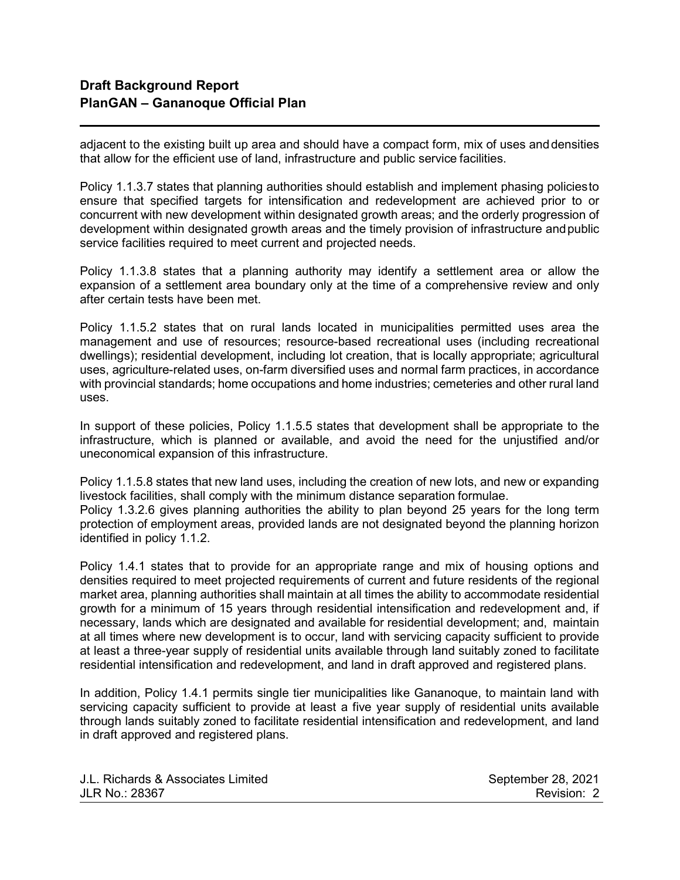l

adjacent to the existing built up area and should have a compact form, mix of uses and densities that allow for the efficient use of land, infrastructure and public service facilities.

Policy 1.1.3.7 states that planning authorities should establish and implement phasing policies to ensure that specified targets for intensification and redevelopment are achieved prior to or concurrent with new development within designated growth areas; and the orderly progression of development within designated growth areas and the timely provision of infrastructure and public service facilities required to meet current and projected needs.

Policy 1.1.3.8 states that a planning authority may identify a settlement area or allow the expansion of a settlement area boundary only at the time of a comprehensive review and only after certain tests have been met.

Policy 1.1.5.2 states that on rural lands located in municipalities permitted uses area the management and use of resources; resource-based recreational uses (including recreational dwellings); residential development, including lot creation, that is locally appropriate; agricultural uses, agriculture-related uses, on-farm diversified uses and normal farm practices, in accordance with provincial standards; home occupations and home industries; cemeteries and other rural land uses.

In support of these policies, Policy 1.1.5.5 states that development shall be appropriate to the infrastructure, which is planned or available, and avoid the need for the unjustified and/or uneconomical expansion of this infrastructure.

Policy 1.1.5.8 states that new land uses, including the creation of new lots, and new or expanding livestock facilities, shall comply with the minimum distance separation formulae. Policy 1.3.2.6 gives planning authorities the ability to plan beyond 25 years for the long term protection of employment areas, provided lands are not designated beyond the planning horizon identified in policy 1.1.2.

Policy 1.4.1 states that to provide for an appropriate range and mix of housing options and densities required to meet projected requirements of current and future residents of the regional market area, planning authorities shall maintain at all times the ability to accommodate residential growth for a minimum of 15 years through residential intensification and redevelopment and, if necessary, lands which are designated and available for residential development; and, maintain at all times where new development is to occur, land with servicing capacity sufficient to provide at least a three-year supply of residential units available through land suitably zoned to facilitate residential intensification and redevelopment, and land in draft approved and registered plans.

In addition, Policy 1.4.1 permits single tier municipalities like Gananoque, to maintain land with servicing capacity sufficient to provide at least a five year supply of residential units available through lands suitably zoned to facilitate residential intensification and redevelopment, and land in draft approved and registered plans.

| J.L. Richards & Associates Limited | September 28, 2021 |
|------------------------------------|--------------------|
| JLR No.: 28367                     | Revision: 2        |